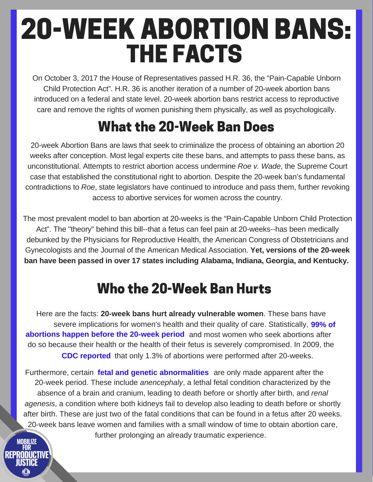# THE FACTS 20-WEEK ABORTION BANS:

On October 3, 2017 the House of Representatives passed H.R. 36, the "Pain-Capable Unborn Child Protection Act". H.R. 36 is another iteration of a number of 20-week abortion bans introduced on a federal and state level. 20-week abortion bans restrict access to reproductive care and remove the rights of women punishing them physically, as well as psychologically.

# What the 20-Week Ban Does

20-week Abortion Bans are laws that seek to criminalize the process of obtaining an abortion 20 weeks after conception. Most legal experts cite these bans, and attempts to pass these bans, as unconstitutional. Attempts to restrict abortion access undermine *Roe v. Wade*, the Supreme Court case that established the constitutional right to abortion. Despite the 20-week ban's fundamental contradictions to *Roe*, state legislators have continued to introduce and pass them, further revoking access to abortive services for women across the country.

The most prevalent model to ban abortion at 20-weeks is the "Pain-Capable Unborn Child Protection Act". The "theory" behind this bill--that a fetus can feel pain at 20-weeks--has been medically debunked by the Physicians for Reproductive Health, the American Congress of Obstetricians and Gynecologists and the Journal of the American Medical Association. **Yet, versions of the 20-week ban have been passed in over 17 states including Alabama, Indiana, Georgia, and Kentucky.**

## Who the 20-Week Ban Hurts

Here are the facts: **20-week bans hurt already vulnerable women**. These bans have severe implications for women's health and their quality of care. Statistically, **[99%](https://www.plannedparenthoodaction.org/issues/abortion/20-week-bans) of** [abortions](https://www.plannedparenthoodaction.org/issues/abortion/20-week-bans) happen before the 20-week period and most women who seek abortions after do so because their health or the health of their fetus is severely compromised. In 2009, the **CDC [reported](https://www.cdc.gov/mmwr/preview/mmwrhtml/ss6108a1.htm)** that only 1.3% of abortions were performed after 20-weeks.

Furthermore, certain **fetal and genetic [abnormalities](https://www.cdc.gov/mmwr/preview/mmwrhtml/ss6108a1.htm)** are only made apparent after the 20-week period. These include *anencephaly*, a lethal fetal condition characterized by the absence of a brain and cranium, leading to death before or shortly after birth, and *renal agenesis*, a condition where both kidneys fail to develop also leading to death before or shortly after birth. These are just two of the fatal conditions that can be found in a fetus after 20 weeks. 20-week bans leave women and families with a small window of time to obtain abortion care, further prolonging an already traumatic experience.

**MORILIZE** 

RFPRANICTIVF